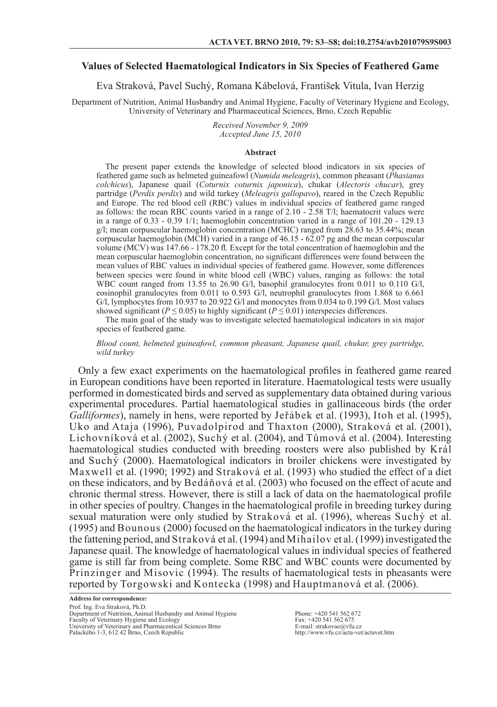# **Values of Selected Haematological Indicators in Six Species of Feathered Game**

Eva Straková, Pavel Suchý, Romana Kábelová, František Vitula, Ivan Herzig

Department of Nutrition, Animal Husbandry and Animal Hygiene, Faculty of Veterinary Hygiene and Ecology, University of Veterinary and Pharmaceutical Sciences, Brno, Czech Republic

> *Received November 9, 2009 Accepted June 15, 2010*

#### **Abstract**

The present paper extends the knowledge of selected blood indicators in six species of feathered game such as helmeted guineafowl (*Numida meleagris*), common pheasant (*Phasianus colchicus*), Japanese quail (*Coturnix coturnix japonica*), chukar (*Alectoris chucar*), grey partridge (*Perdix perdix*) and wild turkey (*Meleagris gallopavo*), reared in the Czech Republic and Europe. The red blood cell (RBC) values in individual species of feathered game ranged as follows: the mean RBC counts varied in a range of 2.10 - 2.58 T/l; haematocrit values were in a range of  $0.33 - 0.39$  1/1; haemoglobin concentration varied in a range of  $101.20 - 129.13$ g/l; mean corpuscular haemoglobin concentration (MCHC) ranged from 28.63 to 35.44%; mean corpuscular haemoglobin (MCH) varied in a range of  $46.15 - 62.07$  pg and the mean corpuscular volume (MCV) was 147.66 - 178.20 fl. Except for the total concentration of haemoglobin and the mean corpuscular haemoglobin concentration, no significant differences were found between the mean values of RBC values in individual species of feathered game. However, some differences between species were found in white blood cell (WBC) values, ranging as follows: the total WBC count ranged from 13.55 to 26.90 G/l, basophil granulocytes from 0.011 to 0.110 G/l, eosinophil granulocytes from 0.011 to 0.593 G/l, neutrophil granulocytes from 1.868 to 6.661 G/l, lymphocytes from 10.937 to 20.922 G/l and monocytes from 0.034 to 0.199 G/l. Most values showed significant ( $P \le 0.05$ ) to highly significant ( $P \le 0.01$ ) interspecies differences.

The main goal of the study was to investigate selected haematological indicators in six major species of feathered game.

*Blood count, helmeted guineafowl, common pheasant, Japanese quail, chukar, grey partridge, wild turkey*

Only a few exact experiments on the haematological profiles in feathered game reared in European conditions have been reported in literature. Haematological tests were usually performed in domesticated birds and served as supplementary data obtained during various experimental procedures. Partial haematological studies in gallinaceous birds (the order *Galliformes*), namely in hens, were reported by Jeřábek et al. (1993), Itoh et al. (1995), Uko and Ataja (1996), Puvadolpirod and Thaxton (2000), Straková et al. (2001), Lichovníková et al. (2002), Suchý et al. (2004), and Tůmová et al. (2004). Interesting haematological studies conducted with breeding roosters were also published by Král and Such $\dot{y}$  (2000). Haematological indicators in broiler chickens were investigated by Maxwell et al. (1990; 1992) and Straková et al. (1993) who studied the effect of a diet on these indicators, and by Bedáňová et al. (2003) who focused on the effect of acute and chronic thermal stress. However, there is still a lack of data on the haematological profile in other species of poultry. Changes in the haematological profile in breeding turkey during sexual maturation were only studied by Straková et al. (1996), whereas Suchý et al. (1995) and Bounous (2000) focused on the haematological indicators in the turkey during the fattening period, and Straková et al. (1994) and Mihailov et al. (1999) investigated the Japanese quail. The knowledge of haematological values in individual species of feathered game is still far from being complete. Some RBC and WBC counts were documented by Prinzinger and Misovic (1994). The results of haematological tests in pheasants were reported by Torgowski and Kontecka (1998) and Hauptmanová et al. (2006).

**Address for correspondence:** Prof. Ing. Eva Straková, Ph.D. Department of Nutrition, Animal Husbandry and Animal Hygiene Faculty of Veterinary Hygiene and Ecology University of Veterinary and Pharmaceutical Sciences Brno Palackého 1-3, 612 42 Brno, Czech Republic

Phone: +420 541 562 672 Fax: +420 541 562 675 E-mail: strakovae@vfu.cz http://www.vfu.cz/acta-vet/actavet.htm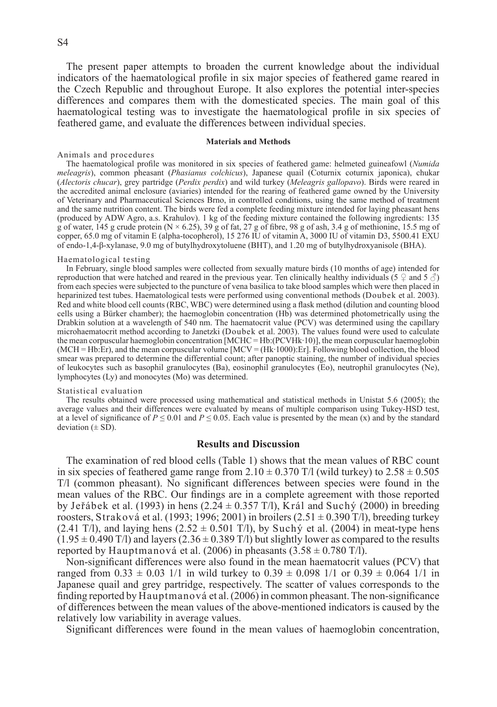The present paper attempts to broaden the current knowledge about the individual indicators of the haematological profile in six major species of feathered game reared in the Czech Republic and throughout Europe. It also explores the potential inter-species differences and compares them with the domesticated species. The main goal of this haematological testing was to investigate the haematological profile in six species of feathered game, and evaluate the differences between individual species.

### **Materials and Methods**

### Animals and procedures

The haematological profile was monitored in six species of feathered game: helmeted guineafowl (*Numida meleagris*), common pheasant (*Phasianus colchicus*), Japanese quail (Coturnix coturnix japonica), chukar (*Alectoris chucar*), grey partridge (*Perdix perdix*) and wild turkey (*Meleagris gallopavo*). Birds were reared in the accredited animal enclosure (aviaries) intended for the rearing of feathered game owned by the University of Veterinary and Pharmaceutical Sciences Brno, in controlled conditions, using the same method of treatment and the same nutrition content. The birds were fed a complete feeding mixture intended for laying pheasant hens (produced by ADW Agro, a.s. Krahulov). 1 kg of the feeding mixture contained the following ingredients: 135 g of water, 145 g crude protein  $(N \times 6.25)$ , 39 g of fat, 27 g of fibre, 98 g of ash, 3.4 g of methionine, 15.5 mg of copper, 65.0 mg of vitamin E (alpha-tocopherol), 15 276 IU of vitamin A, 3000 IU of vitamin D3, 5500.41 EXU of endo-1,4-β-xylanase, 9.0 mg of butylhydroxytoluene (BHT), and 1.20 mg of butylhydroxyanisole (BHA).

### Haematological testing

In February, single blood samples were collected from sexually mature birds (10 months of age) intended for reproduction that were hatched and reared in the previous year. Ten clinically healthy individuals (5  $\circ$  and 5  $\circ$ ) from each species were subjected to the puncture of vena basilica to take blood samples which were then placed in heparinized test tubes. Haematological tests were performed using conventional methods (Doubek et al. 2003). Red and white blood cell counts (RBC, WBC) were determined using a flask method (dilution and counting blood cells using a Bürker chamber); the haemoglobin concentration (Hb) was determined photometrically using the Drabkin solution at a wavelength of 540 nm. The haematocrit value (PCV) was determined using the capillary microhaematocrit method according to Janetzki (Doubek et al. 2003). The values found were used to calculate the mean corpuscular haemoglobin concentration [MCHC = Hb:(PCVHk·10)], the mean corpuscular haemoglobin (MCH = Hb:Er), and the mean corpuscular volume [MCV = (Hk·1000):Er]. Following blood collection, the blood smear was prepared to determine the differential count; after panoptic staining, the number of individual species of leukocytes such as basophil granulocytes (Ba), eosinophil granulocytes (Eo), neutrophil granulocytes (Ne), lymphocytes (Ly) and monocytes (Mo) was determined.

## Statistical evaluation

The results obtained were processed using mathematical and statistical methods in Unistat 5.6 (2005); the average values and their differences were evaluated by means of multiple comparison using Tukey-HSD test, at a level of significance of  $P \le 0.01$  and  $P \le 0.05$ . Each value is presented by the mean (x) and by the standard deviation  $(\pm SD)$ .

# **Results and Discussion**

The examination of red blood cells (Table 1) shows that the mean values of RBC count in six species of feathered game range from  $2.10 \pm 0.370$  T/l (wild turkey) to  $2.58 \pm 0.505$ T/l (common pheasant). No significant differences between species were found in the mean values of the RBC. Our findings are in a complete agreement with those reported by Jeřábek et al. (1993) in hens (2.24  $\pm$  0.357 T/l), Král and Suchý (2000) in breeding roosters, Straková et al. (1993; 1996; 2001) in broilers (2.51  $\pm$  0.390 T/l), breeding turkey (2.41 T/l), and laying hens (2.52  $\pm$  0.501 T/l), by Suchy et al. (2004) in meat-type hens  $(1.95 \pm 0.490 \text{ T/l})$  and layers  $(2.36 \pm 0.389 \text{ T/l})$  but slightly lower as compared to the results reported by Hauptmanová et al. (2006) in pheasants  $(3.58 \pm 0.780 \text{ T/l})$ .

Non-significant differences were also found in the mean haematocrit values (PCV) that ranged from  $0.33 \pm 0.03$  1/1 in wild turkey to  $0.39 \pm 0.098$  1/1 or  $0.39 \pm 0.064$  1/1 in Japanese quail and grey partridge, respectively. The scatter of values corresponds to the finding reported by Hauptmanová et al. (2006) in common pheasant. The non-significance of differences between the mean values of the above-mentioned indicators is caused by the relatively low variability in average values.

Significant differences were found in the mean values of haemoglobin concentration,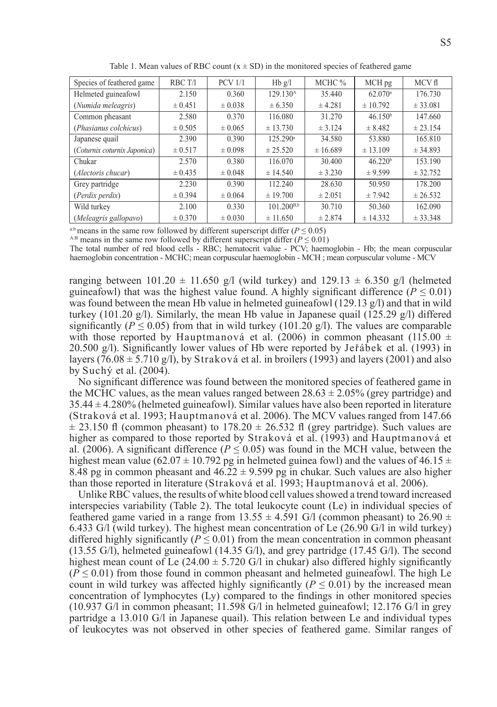| Species of feathered game    | RBC T/I     | <b>PCV 1/1</b> | $Hb$ g/l             | MCHC %      | MCH <sub>pg</sub>   | MCV fl   |
|------------------------------|-------------|----------------|----------------------|-------------|---------------------|----------|
| Helmeted guineafowl          | 2.150       | 0.360          | 129.130 <sup>A</sup> | 35.440      | 62.070 <sup>a</sup> | 176.730  |
| (Numida meleagris)           | $\pm 0.451$ | $\pm 0.038$    | $\pm 6.350$          | ± 4.281     | ± 10.792            | ± 33.081 |
| Common pheasant              | 2.580       | 0.370          | 116.080              | 31.270      | 46.150 <sup>b</sup> | 147.660  |
| (Phasianus colchicus)        | $\pm 0.505$ | $\pm 0.065$    | ± 13.730             | ± 3.124     | ± 8.482             | ± 23.154 |
| Japanese quail               | 2.390       | 0.390          | 125.290a             | 34.580      | 53.880              | 165.810  |
| (Coturnix coturnix Japonica) | $\pm 0.517$ | $\pm 0.098$    | $\pm 25.520$         | ± 16.689    | ± 13.109            | ± 34.893 |
| Chukar                       | 2.570       | 0.380          | 116.070              | 30.400      | 46.220 <sup>b</sup> | 153.190  |
| (Alectoris chucar)           | $\pm 0.435$ | $\pm 0.048$    | $\pm$ 14.540         | ± 3.230     | ± 9.599             | ± 32.752 |
| Grey partridge               | 2.230       | 0.390          | 112.240              | 28.630      | 50.950              | 178.200  |
| (Perdix perdix)              | $\pm 0.394$ | $\pm 0.064$    | ± 19.700             | $\pm 2.051$ | ± 7.942             | ± 26.532 |
| Wild turkey                  | 2.100       | 0.330          | $101.200^{B,b}$      | 30.710      | 50.360              | 162.090  |
| (Meleagris gallopavo)        | $\pm 0.370$ | $\pm 0.030$    | ± 11.650             | ± 2.874     | ± 14.332            | ± 33.348 |

Table 1. Mean values of RBC count  $(x \pm SD)$  in the monitored species of feathered game

<sup>a:b</sup> means in the same row followed by different superscript differ ( $P \le 0.05$ )

<sup>A:B</sup> means in the same row followed by different superscript differ ( $P \le 0.01$ )

The total number of red blood cells - RBC; hematocrit value - PCV; haemoglobin - Hb; the mean corpuscular haemoglobin concentration - MCHC; mean corpuscular haemoglobin - MCH ; mean corpuscular volume - MCV

ranging between 101.20  $\pm$  11.650 g/l (wild turkey) and 129.13  $\pm$  6.350 g/l (helmeted guineafowl) that was the highest value found. A highly significant difference ( $P \le 0.01$ ) was found between the mean Hb value in helmeted guineafowl (129.13  $\alpha$ ) and that in wild turkey (101.20 g/l). Similarly, the mean Hb value in Japanese quail (125.29 g/l) differed significantly ( $P \le 0.05$ ) from that in wild turkey (101.20 g/l). The values are comparable with those reported by Hauptmanová et al. (2006) in common pheasant (115.00  $\pm$ 20.500 g/l). Significantly lower values of Hb were reported by Jeřábek et al. (1993) in layers (76.08  $\pm$  5.710 g/l), by Straková et al. in broilers (1993) and layers (2001) and also by Suchý et al. (2004).

No significant difference was found between the monitored species of feathered game in the MCHC values, as the mean values ranged between  $28.63 \pm 2.05\%$  (grey partridge) and 35.44 ± 4.280% (helmeted guineafowl). Similar values have also been reported in literature (Straková et al. 1993; Hauptmanová et al. 2006). The MCV values ranged from 147.66  $\pm$  23.150 fl (common pheasant) to 178.20  $\pm$  26.532 fl (grey partridge). Such values are higher as compared to those reported by Straková et al. (1993) and Hauptmanová et al. (2006). A significant difference ( $P \le 0.05$ ) was found in the MCH value, between the highest mean value (62.07  $\pm$  10.792 pg in helmeted guinea fowl) and the values of 46.15  $\pm$ 8.48 pg in common pheasant and  $46.22 \pm 9.599$  pg in chukar. Such values are also higher than those reported in literature (Straková et al. 1993; Hauptmanová et al. 2006).

Unlike RBC values, the results of white blood cell values showed a trend toward increased interspecies variability (Table 2). The total leukocyte count (Le) in individual species of feathered game varied in a range from 13.55  $\pm$  4.591 G/l (common pheasant) to 26.90  $\pm$ 6.433 G/l (wild turkey). The highest mean concentration of Le (26.90 G/l in wild turkey) differed highly significantly ( $P \le 0.01$ ) from the mean concentration in common pheasant (13.55 G/l), helmeted guineafowl (14.35 G/l), and grey partridge (17.45 G/l). The second highest mean count of Le  $(24.00 \pm 5.720 \text{ G})$  in chukar) also differed highly significantly  $(P \le 0.01)$  from those found in common pheasant and helmeted guineafowl. The high Le count in wild turkey was affected highly significantly ( $P \le 0.01$ ) by the increased mean concentration of lymphocytes (Ly) compared to the findings in other monitored species (10.937 G/l in common pheasant; 11.598 G/l in helmeted guineafowl; 12.176 G/l in grey partridge a 13.010 G/l in Japanese quail). This relation between Le and individual types of leukocytes was not observed in other species of feathered game. Similar ranges of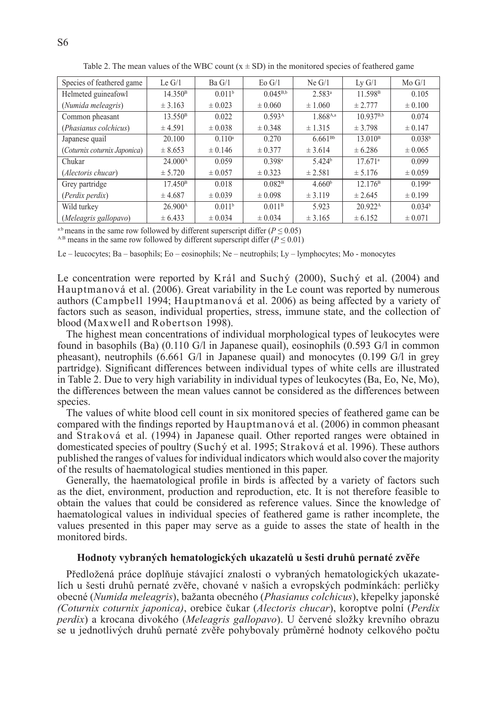| Species of feathered game    | Le $G/1$            | Ba G/I             | $E_0$ G/1          | $Ne$ $G/1$         | $Lv$ $G/1$            | Mo G/1             |
|------------------------------|---------------------|--------------------|--------------------|--------------------|-----------------------|--------------------|
| Helmeted guineafowl          | 14.350 <sup>B</sup> | 0.011 <sup>b</sup> | $0.045^{B,b}$      | $2.583^{a}$        | 11.598 <sup>B</sup>   | 0.105              |
| (Numida meleagris)           | ± 3.163             | $\pm 0.023$        | $\pm 0.060$        | ± 1.060            | ± 2.777               | $\pm 0.100$        |
| Common pheasant              | 13.550 <sup>B</sup> | 0.022              | 0.593 <sup>A</sup> | 1.868A,a           | $10.937^{B,b}$        | 0.074              |
| (Phasianus colchicus)        | ± 4.591             | $\pm 0.038$        | $\pm 0.348$        | ± 1.315            | ± 3.798               | ± 0.147            |
| Japanese quail               | 20.100              | $0.110^a$          | 0.270              | $6.661^{Bb}$       | 13.010 <sup>B</sup>   | 0.038 <sup>b</sup> |
| (Coturnix coturnix Japonica) | $\pm 8.653$         | $\pm 0.146$        | ± 0.377            | ± 3.614            | ± 6.286               | $\pm 0.065$        |
| Chukar                       | $24.000^{\text{A}}$ | 0.059              | 0.398a             | 5.424 <sup>b</sup> | $17.671$ <sup>a</sup> | 0.099              |
| (Alectoris chucar)           | ± 5.720             | $\pm 0.057$        | $\pm 0.323$        | ± 2.581            | ± 5.176               | $\pm 0.059$        |
| Grey partridge               | 17.450 <sup>B</sup> | 0.018              | 0.082 <sup>B</sup> | 4.660 <sup>b</sup> | 12.176 <sup>B</sup>   | 0.199a             |
| (Perdix perdix)              | ± 4.687             | $\pm 0.039$        | $\pm 0.098$        | ± 3.119            | ± 2.645               | $\pm 0.199$        |
| Wild turkey                  | 26.900 <sup>A</sup> | 0.011 <sup>b</sup> | 0.011 <sup>B</sup> | 5.923              | $20.922^{\text{A}}$   | 0.034 <sup>b</sup> |
| (Meleagris gallopavo)        | ± 6.433             | $\pm 0.034$        | $\pm 0.034$        | ± 3.165            | ± 6.152               | $\pm 0.071$        |

Table 2. The mean values of the WBC count  $(x \pm SD)$  in the monitored species of feathered game

<sup>a:b</sup> means in the same row followed by different superscript differ ( $P \le 0.05$ )

<sup>A:B</sup> means in the same row followed by different superscript differ ( $P \le 0.01$ )

Le – leucocytes; Ba – basophils; Eo – eosinophils; Ne – neutrophils; Ly – lymphocytes; Mo - monocytes

Le concentration were reported by Král and Suchý (2000), Suchý et al. (2004) and Hauptmanová et al. (2006). Great variability in the Le count was reported by numerous authors (Campbell 1994; Hauptmanová et al. 2006) as being affected by a variety of factors such as season, individual properties, stress, immune state, and the collection of blood (Maxwell and Robertson 1998).

The highest mean concentrations of individual morphological types of leukocytes were found in basophils (Ba) (0.110 G/l in Japanese quail), eosinophils (0.593 G/l in common pheasant), neutrophils (6.661 G/l in Japanese quail) and monocytes (0.199 G/l in grey partridge). Significant differences between individual types of white cells are illustrated in Table 2. Due to very high variability in individual types of leukocytes (Ba, Eo, Ne, Mo), the differences between the mean values cannot be considered as the differences between species.

The values of white blood cell count in six monitored species of feathered game can be compared with the findings reported by Hauptmanová et al. (2006) in common pheasant and Straková et al. (1994) in Japanese quail. Other reported ranges were obtained in domesticated species of poultry (Suchý et al. 1995; Straková et al. 1996). These authors published the ranges of values for individual indicators which would also cover the majority of the results of haematological studies mentioned in this paper.

Generally, the haematological profile in birds is affected by a variety of factors such as the diet, environment, production and reproduction, etc. It is not therefore feasible to obtain the values that could be considered as reference values. Since the knowledge of haematological values in individual species of feathered game is rather incomplete, the values presented in this paper may serve as a guide to asses the state of health in the monitored birds.

# **Hodnoty vybraných hematologických ukazatelů u šesti druhů pernaté zvěře**

Předložená práce doplňuje stávající znalosti o vybraných hematologických ukazatelích u šesti druhů pernaté zvěře, chované v našich a evropských podmínkách: perličky obecné (*Numida meleagris*), bažanta obecného (*Phasianus colchicus*), křepelky japonské *(Coturnix coturnix japonica)*, orebice čukar (*Alectoris chucar*), koroptve polní (*Perdix perdix*) a krocana divokého (*Meleagris gallopavo*). U červené složky krevního obrazu se u jednotlivých druhů pernaté zvěře pohybovaly průměrné hodnoty celkového počtu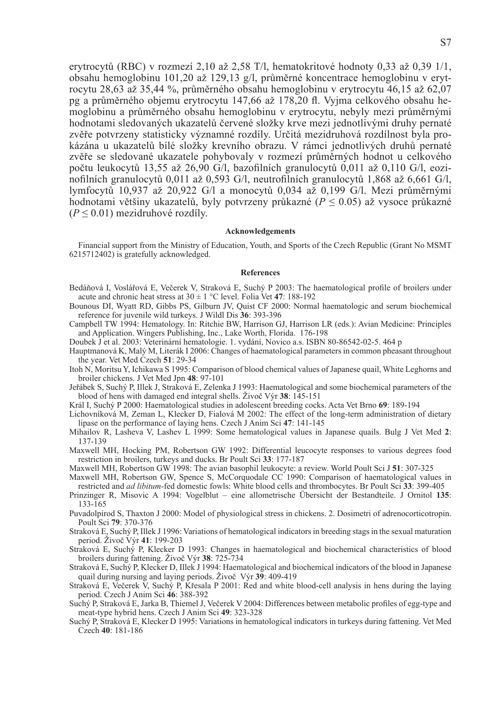erytrocytů (RBC) v rozmezí 2,10 až 2,58 T/l, hematokritové hodnoty 0,33 až 0,39 1/1, obsahu hemoglobinu 101,20 až 129,13 g/l, průměrné koncentrace hemoglobinu v erytrocytu 28,63 až 35,44 %, průměrného obsahu hemoglobinu v erytrocytu 46,15 až 62,07 pg a průměrného objemu erytrocytu 147,66 až 178,20 fl. Vyjma celkového obsahu hemoglobinu a průměrného obsahu hemoglobinu v erytrocytu, nebyly mezi průměrnými hodnotami sledovaných ukazatelů červené složky krve mezi jednotlivými druhy pernaté zvěře potvrzeny statisticky významné rozdíly. Určitá mezidruhová rozdílnost byla prokázána u ukazatelů bílé složky krevního obrazu. V rámci jednotlivých druhů pernaté zvěře se sledované ukazatele pohybovaly v rozmezí průměrných hodnot u celkového počtu leukocytů 13,55 až 26,90 G/l, bazofilních granulocytů 0,011 až 0,110 G/l, eozinofilních granulocytů 0,011 až 0,593 G/l, neutrofilních granulocytů 1,868 až 6,661 G/l, lymfocytů 10,937 až 20,922 G/l a monocytů 0,034 až 0,199 G/l. Mezi průměrnými hodnotami většiny ukazatelů, byly potvrzeny průkazné (*P* ≤ 0.05) až vysoce průkazné  $(P \le 0.01)$  mezidruhové rozdíly.

# **Acknowledgements**

Financial support from the Ministry of Education, Youth, and Sports of the Czech Republic (Grant No MSMT 6215712402) is gratefully acknowledged.

#### **References**

- Bedáňová I, Voslářová E, Večerek V, Straková E, Suchý P 2003: The haematological profile of broilers under acute and chronic heat stress at  $30 \pm 1$  °C level. Folia Vet **47**: 188-192
- Bounous DI, Wyatt RD, Gibbs PS, Gilburn JV, Quist CF 2000: Normal haematologic and serum biochemical reference for juvenile wild turkeys. J Wildl Dis **36**: 393-396
- Campbell TW 1994: Hematology. In: Ritchie BW, Harrison GJ, Harrison LR (eds.): Avian Medicine: Principles and Application. Wingers Publishing, Inc., Lake Worth, Florida. 176-198
- Doubek J et al. 2003: Veterinární hematologie. 1. vydání, Novico a.s. ISBN 80-86542-02-5. 464 p
- Hauptmanová K, Malý M, Literák I 2006: Changes of haematological parameters in common pheasant throughout the year. Vet Med Czech **51**: 29-34
- Itoh N, Moritsu Y, Ichikawa S 1995: Comparison of blood chemical values of Japanese quail, White Leghorns and broiler chickens. J Vet Med Jpn **48**: 97-101
- Jeřábek S, Suchý P, Illek J, Straková E, Zelenka J 1993: Haematological and some biochemical parameters of the blood of hens with damaged end integral shells. Živoč Výr **38**: 145-151
- Král I, Suchý P 2000: Haematological studies in adolescent breeding cocks. Acta Vet Brno **69**: 189-194
- Lichovníková M, Zeman L, Klecker D, Fialová M 2002: The effect of the long-term administration of dietary lipase on the performance of laying hens. Czech J Anim Sci **47**: 141-145
- Mihailov R, Lasheva V, Lashev L 1999: Some hematological values in Japanese quails. Bulg J Vet Med **2**: 137-139
- Maxwell MH, Hocking PM, Robertson GW 1992: Differential leucocyte responses to various degrees food restriction in broilers, turkeys and ducks. Br Poult Sci **33**: 177-187
- Maxwell MH, Robertson GW 1998: The avian basophil leukocyte: a review. World Poult Sci J **51**: 307-325
- Maxwell MH, Robertson GW, Spence S, McCorquodale CC 1990: Comparison of haematological values in restricted and *ad libitum*-fed domestic fowls: White blood cells and thrombocytes. Br Poult Sci **33**: 399-405
- Prinzinger R, Misovic A 1994: Vogelblut eine allometrische Übersicht der Bestandteile. J Ornitol **135**: 133-165
- Puvadolpirod S, Thaxton J 2000: Model of physiological stress in chickens. 2. Dosimetri of adrenocorticotropin. Poult Sci **79**: 370-376
- Straková E, Suchý P, Illek J 1996: Variations of hematological indicators in breeding stags in the sexual maturation period. Živoč Výr **41**: 199-203
- Straková E, Suchý P, Klecker D 1993: Changes in haematological and biochemical characteristics of blood broilers during fattening. Živoč Výr **38**: 725-734
- Straková E, Suchý P, Klecker D, Illek J 1994: Haematological and biochemical indicators of the blood in Japanese quail during nursing and laying periods. Živoč Výr **39**: 409-419
- Straková E, Večerek V, Suchý P, Křesala P 2001: Red and white blood-cell analysis in hens during the laying period. Czech J Anim Sci **46**: 388-392
- Suchý P, Straková E, Jarka B, Thiemel J, Večerek V 2004: Differences between metabolic profiles of egg-type and meat-type hybrid hens. Czech J Anim Sci **49**: 323-328
- Suchý P, Straková E, Klecker D 1995: Variations in hematological indicators in turkeys during fattening. Vet Med Czech **40**: 181-186